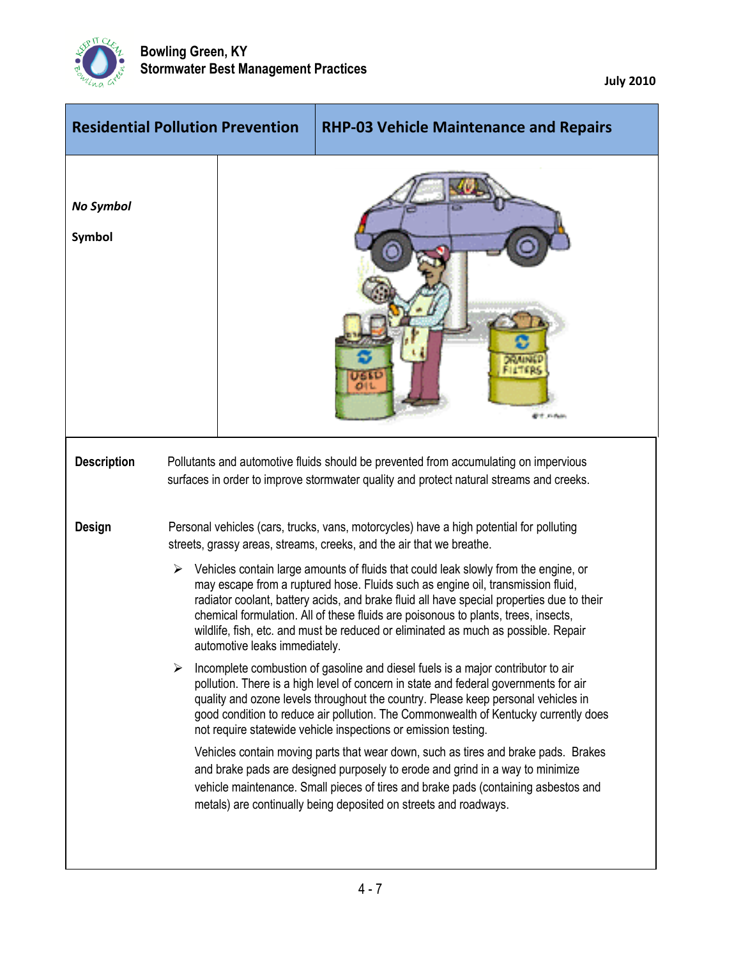

|   | <b>RHP-03 Vehicle Maintenance and Repairs</b>                                                                                                                                                                                                                                                                                                                                                                                                                                                                                                                                                                                                                                                                                                                                                                                                                                                                                                                                                                                                                                                                                                                                                                                                                                                                                                                                                  |
|---|------------------------------------------------------------------------------------------------------------------------------------------------------------------------------------------------------------------------------------------------------------------------------------------------------------------------------------------------------------------------------------------------------------------------------------------------------------------------------------------------------------------------------------------------------------------------------------------------------------------------------------------------------------------------------------------------------------------------------------------------------------------------------------------------------------------------------------------------------------------------------------------------------------------------------------------------------------------------------------------------------------------------------------------------------------------------------------------------------------------------------------------------------------------------------------------------------------------------------------------------------------------------------------------------------------------------------------------------------------------------------------------------|
|   |                                                                                                                                                                                                                                                                                                                                                                                                                                                                                                                                                                                                                                                                                                                                                                                                                                                                                                                                                                                                                                                                                                                                                                                                                                                                                                                                                                                                |
|   | Pollutants and automotive fluids should be prevented from accumulating on impervious<br>surfaces in order to improve stormwater quality and protect natural streams and creeks.                                                                                                                                                                                                                                                                                                                                                                                                                                                                                                                                                                                                                                                                                                                                                                                                                                                                                                                                                                                                                                                                                                                                                                                                                |
| ➤ | Personal vehicles (cars, trucks, vans, motorcycles) have a high potential for polluting<br>streets, grassy areas, streams, creeks, and the air that we breathe.<br>$\triangleright$ Vehicles contain large amounts of fluids that could leak slowly from the engine, or<br>may escape from a ruptured hose. Fluids such as engine oil, transmission fluid,<br>radiator coolant, battery acids, and brake fluid all have special properties due to their<br>chemical formulation. All of these fluids are poisonous to plants, trees, insects,<br>wildlife, fish, etc. and must be reduced or eliminated as much as possible. Repair<br>Incomplete combustion of gasoline and diesel fuels is a major contributor to air<br>pollution. There is a high level of concern in state and federal governments for air<br>quality and ozone levels throughout the country. Please keep personal vehicles in<br>good condition to reduce air pollution. The Commonwealth of Kentucky currently does<br>not require statewide vehicle inspections or emission testing.<br>Vehicles contain moving parts that wear down, such as tires and brake pads. Brakes<br>and brake pads are designed purposely to erode and grind in a way to minimize<br>vehicle maintenance. Small pieces of tires and brake pads (containing asbestos and<br>metals) are continually being deposited on streets and roadways. |
|   | <b>Residential Pollution Prevention</b><br>automotive leaks immediately.                                                                                                                                                                                                                                                                                                                                                                                                                                                                                                                                                                                                                                                                                                                                                                                                                                                                                                                                                                                                                                                                                                                                                                                                                                                                                                                       |